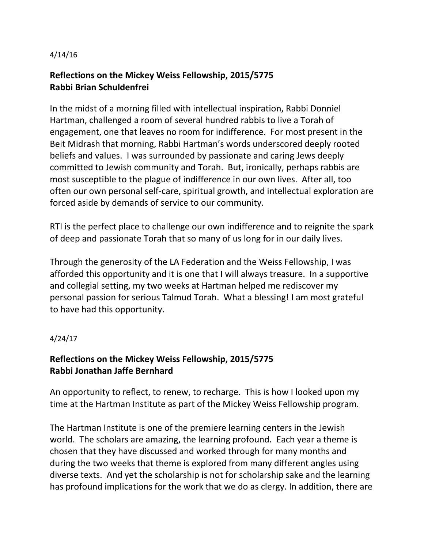## 4/14/16

## **Reflections on the Mickey Weiss Fellowship, 2015/5775 Rabbi Brian Schuldenfrei**

In the midst of a morning filled with intellectual inspiration, Rabbi Donniel Hartman, challenged a room of several hundred rabbis to live a Torah of engagement, one that leaves no room for indifference. For most present in the Beit Midrash that morning, Rabbi Hartman's words underscored deeply rooted beliefs and values. I was surrounded by passionate and caring Jews deeply committed to Jewish community and Torah. But, ironically, perhaps rabbis are most susceptible to the plague of indifference in our own lives. After all, too often our own personal self-care, spiritual growth, and intellectual exploration are forced aside by demands of service to our community.

RTI is the perfect place to challenge our own indifference and to reignite the spark of deep and passionate Torah that so many of us long for in our daily lives.

Through the generosity of the LA Federation and the Weiss Fellowship, I was afforded this opportunity and it is one that I will always treasure. In a supportive and collegial setting, my two weeks at Hartman helped me rediscover my personal passion for serious Talmud Torah. What a blessing! I am most grateful to have had this opportunity.

## 4/24/17

## **Reflections on the Mickey Weiss Fellowship, 2015/5775 Rabbi Jonathan Jaffe Bernhard**

An opportunity to reflect, to renew, to recharge. This is how I looked upon my time at the Hartman Institute as part of the Mickey Weiss Fellowship program.

The Hartman Institute is one of the premiere learning centers in the Jewish world. The scholars are amazing, the learning profound. Each year a theme is chosen that they have discussed and worked through for many months and during the two weeks that theme is explored from many different angles using diverse texts. And yet the scholarship is not for scholarship sake and the learning has profound implications for the work that we do as clergy. In addition, there are